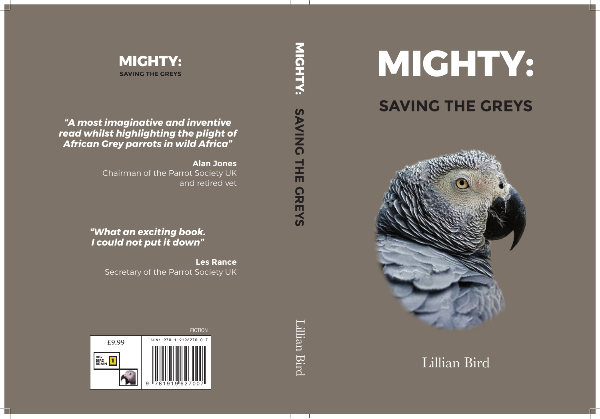

## **SAVING THE GREYS**



Lillian Bird

**MIGHTY: ПСНТКУ: SAVING SAVING THE GREYS THE** CREYS

Lillian Bird

Lillian Bird

**MIGHTY: SAVING THE GREYS**

*"A most imaginative and inventive read whilst highlighting the plight of African Grey parrots in wild Africa"*

> **Alan Jones** Chairman of the Parrot Society UK and retired vet

*"What an exciting book. I could not put it down"*

> **Les Rance** Secretary of the Parrot Society UK

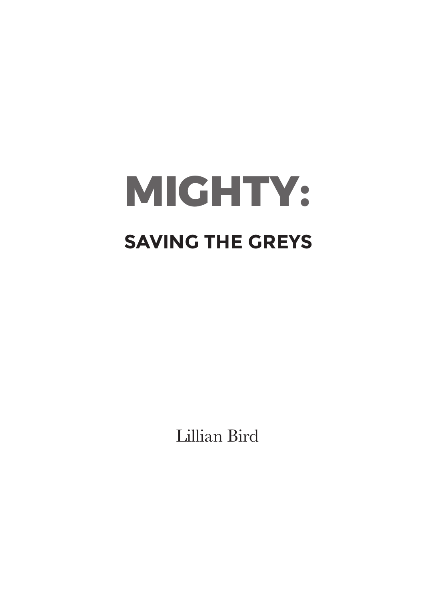## **MIGHTY: SAVING THE GREYS**

Lillian Bird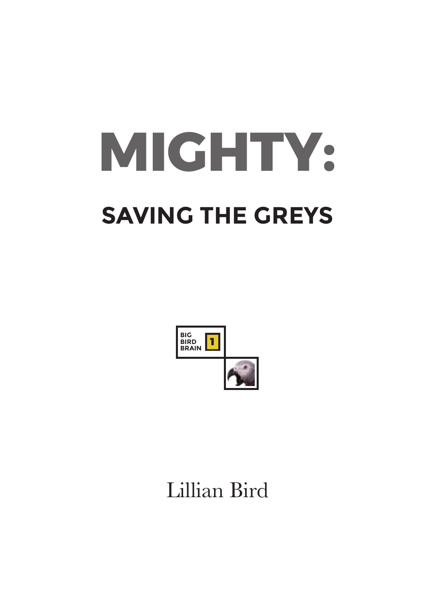# **MIGHTY: SAVING THE GREYS**



## Lillian Bird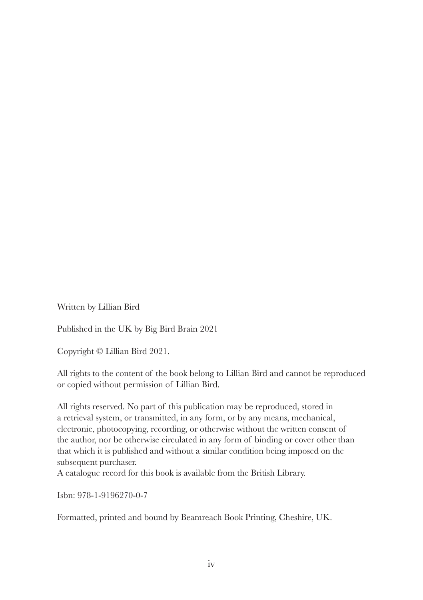Written by Lillian Bird

Published in the UK by Big Bird Brain 2021

Copyright © Lillian Bird 2021.

All rights to the content of the book belong to Lillian Bird and cannot be reproduced or copied without permission of Lillian Bird.

All rights reserved. No part of this publication may be reproduced, stored in a retrieval system, or transmitted, in any form, or by any means, mechanical, electronic, photocopying, recording, or otherwise without the written consent of the author, nor be otherwise circulated in any form of binding or cover other than that which it is published and without a similar condition being imposed on the subsequent purchaser.

A catalogue record for this book is available from the British Library.

Isbn: 978-1-9196270-0-7

Formatted, printed and bound by Beamreach Book Printing, Cheshire, UK.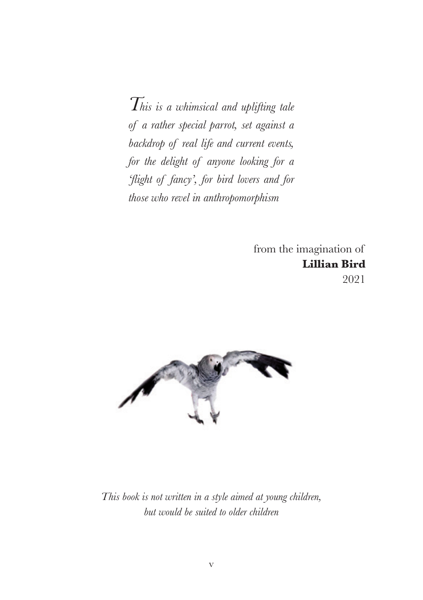*This is a whimsical and uplifting tale of a rather special parrot, set against a backdrop of real life and current events, for the delight of anyone looking for a 'flight of fancy', for bird lovers and for those who revel in anthropomorphism*

> from the imagination of **Lillian Bird** 2021



*This book is not written in a style aimed at young children, but would be suited to older children*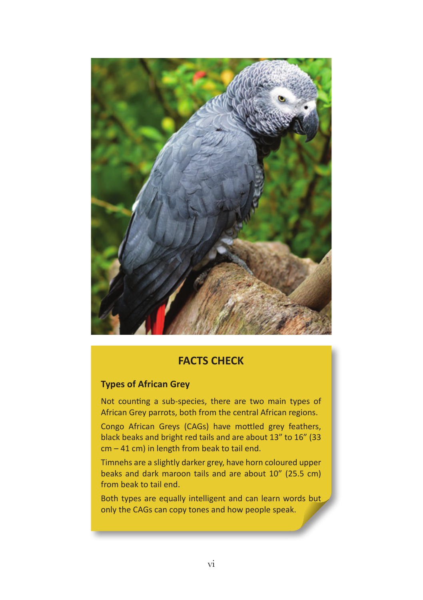

#### **FACTS CHECK**

#### **Types of African Grey**

Not counting a sub-species, there are two main types of African Grey parrots, both from the central African regions.

Congo African Greys (CAGs) have mottled grey feathers, black beaks and bright red tails and are about 13" to 16" (33 cm – 41 cm) in length from beak to tail end.

Timnehs are a slightly darker grey, have horn coloured upper beaks and dark maroon tails and are about 10" (25.5 cm) from beak to tail end.

Both types are equally intelligent and can learn words but only the CAGs can copy tones and how people speak.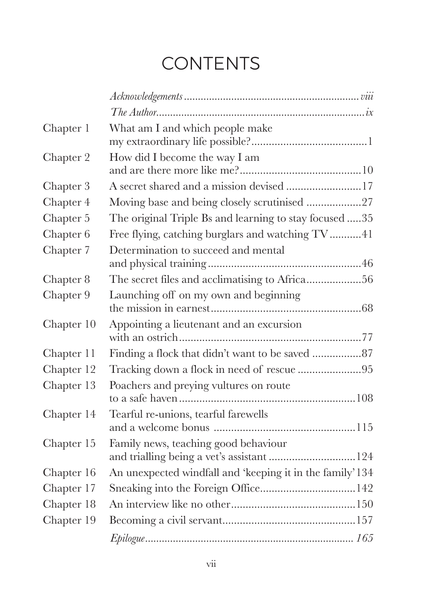## **CONTENTS**

| Chapter 1  | What am I and which people make                                                   |
|------------|-----------------------------------------------------------------------------------|
| Chapter 2  | How did I become the way I am                                                     |
| Chapter 3  | A secret shared and a mission devised 17                                          |
| Chapter 4  | Moving base and being closely scrutinised 27                                      |
| Chapter 5  | The original Triple Bs and learning to stay focused 35                            |
| Chapter 6  | Free flying, catching burglars and watching TV41                                  |
| Chapter 7  | Determination to succeed and mental                                               |
| Chapter 8  | The secret files and acclimatising to Africa56                                    |
| Chapter 9  | Launching off on my own and beginning                                             |
| Chapter 10 | Appointing a lieutenant and an excursion                                          |
| Chapter 11 |                                                                                   |
| Chapter 12 | Tracking down a flock in need of rescue 95                                        |
| Chapter 13 | Poachers and preying vultures on route                                            |
| Chapter 14 | Tearful re-unions, tearful farewells                                              |
| Chapter 15 | Family news, teaching good behaviour<br>and trialling being a vet's assistant 124 |
| Chapter 16 | An unexpected windfall and 'keeping it in the family' 134                         |
| Chapter 17 |                                                                                   |
| Chapter 18 |                                                                                   |
| Chapter 19 |                                                                                   |
|            |                                                                                   |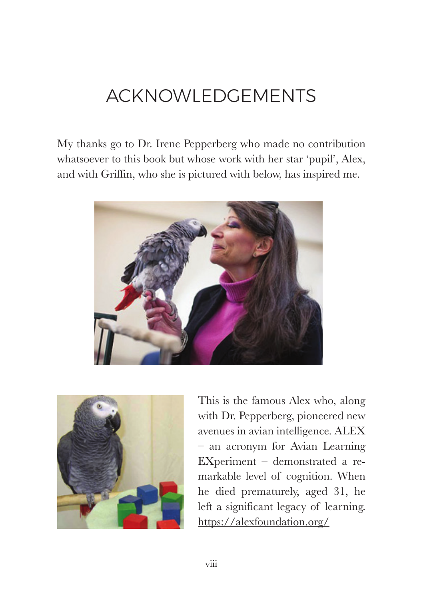## ACKNOWLEDGEMENTS

My thanks go to Dr. Irene Pepperberg who made no contribution whatsoever to this book but whose work with her star 'pupil', Alex, and with Griffin, who she is pictured with below, has inspired me.





This is the famous Alex who, along with Dr. Pepperberg, pioneered new avenues in avian intelligence. ALEX – an acronym for Avian Learning EXperiment – demonstrated a remarkable level of cognition. When he died prematurely, aged 31, he left a significant legacy of learning. https://alexfoundation.org/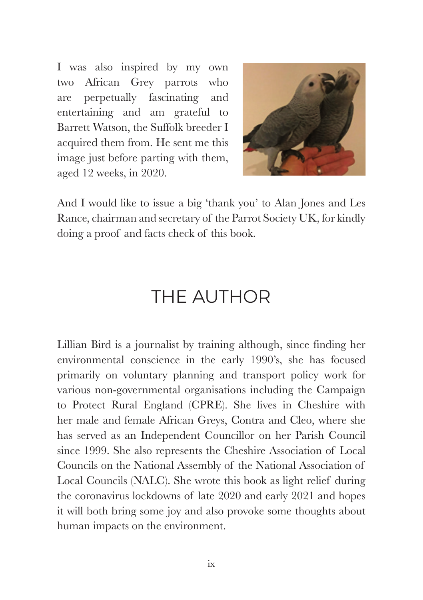I was also inspired by my own two African Grey parrots who are perpetually fascinating and entertaining and am grateful to Barrett Watson, the Suffolk breeder I acquired them from. He sent me this image just before parting with them, aged 12 weeks, in 2020.



And I would like to issue a big 'thank you' to Alan Jones and Les Rance, chairman and secretary of the Parrot Society UK, for kindly doing a proof and facts check of this book.

### THE AUTHOR

Lillian Bird is a journalist by training although, since finding her environmental conscience in the early 1990's, she has focused primarily on voluntary planning and transport policy work for various non-governmental organisations including the Campaign to Protect Rural England (CPRE). She lives in Cheshire with her male and female African Greys, Contra and Cleo, where she has served as an Independent Councillor on her Parish Council since 1999. She also represents the Cheshire Association of Local Councils on the National Assembly of the National Association of Local Councils (NALC). She wrote this book as light relief during the coronavirus lockdowns of late 2020 and early 2021 and hopes it will both bring some joy and also provoke some thoughts about human impacts on the environment.